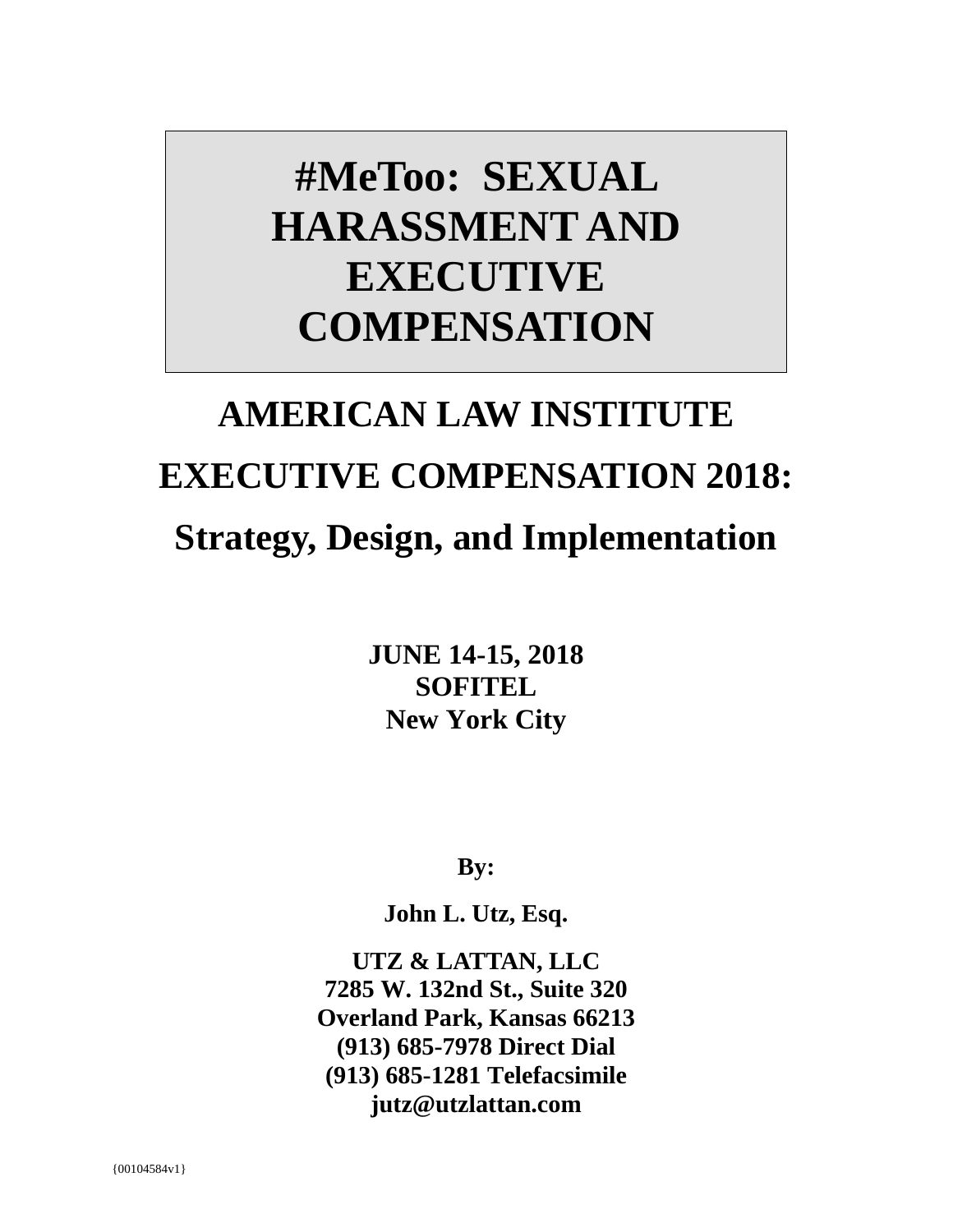# **#MeToo: SEXUAL HARASSMENT AND EXECUTIVE COMPENSATION**

# **AMERICAN LAW INSTITUTE EXECUTIVE COMPENSATION 2018: Strategy, Design, and Implementation**

**JUNE 14-15, 2018 SOFITEL New York City**

**By:**

**John L. Utz, Esq.** 

**UTZ & LATTAN, LLC 7285 W. 132nd St., Suite 320 Overland Park, Kansas 66213 (913) 685-7978 Direct Dial (913) 685-1281 Telefacsimile jutz@utzlattan.com**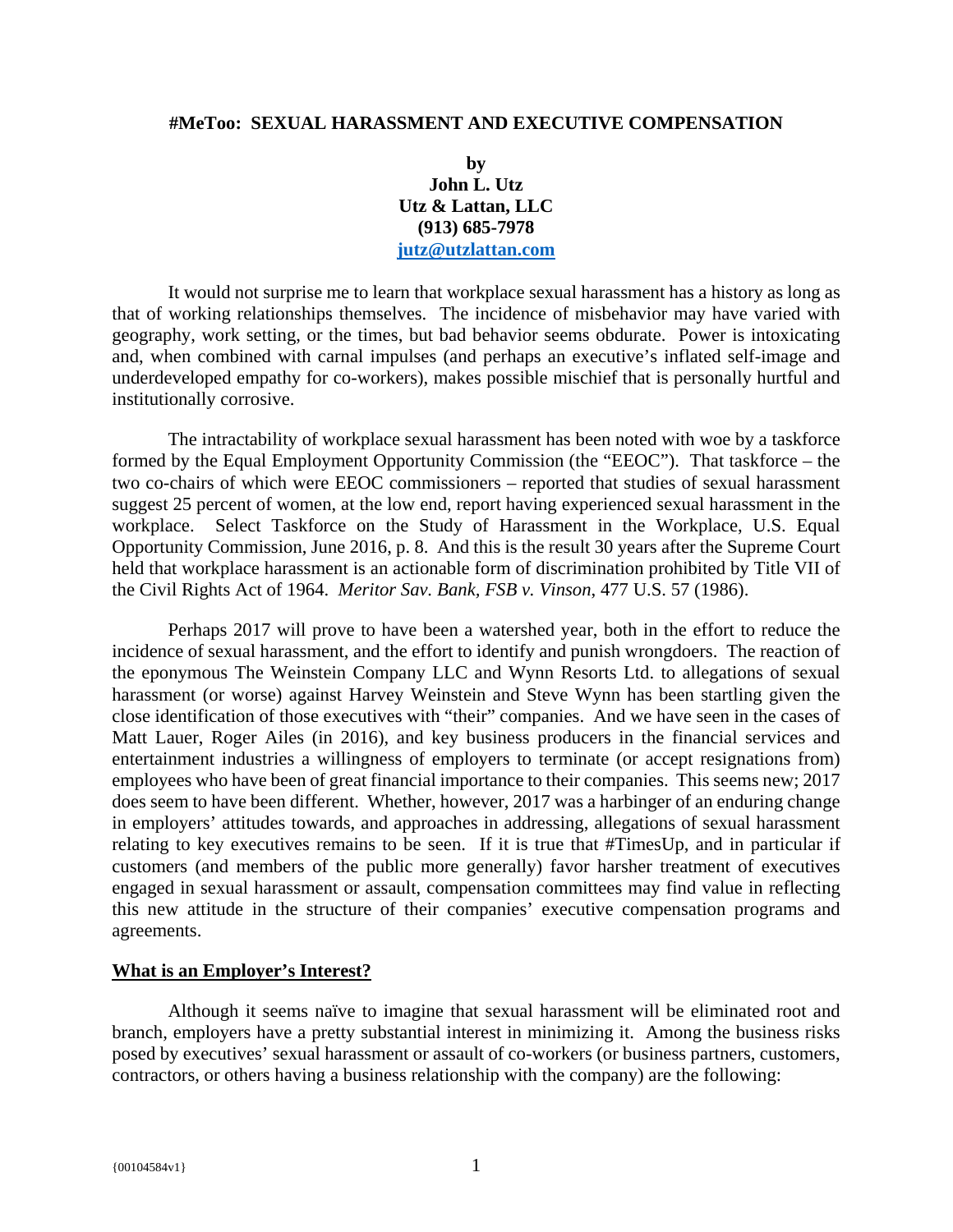#### **#MeToo: SEXUAL HARASSMENT AND EXECUTIVE COMPENSATION**

**by John L. Utz Utz & Lattan, LLC (913) 685-7978 jutz@utzlattan.com**

It would not surprise me to learn that workplace sexual harassment has a history as long as that of working relationships themselves. The incidence of misbehavior may have varied with geography, work setting, or the times, but bad behavior seems obdurate. Power is intoxicating and, when combined with carnal impulses (and perhaps an executive's inflated self-image and underdeveloped empathy for co-workers), makes possible mischief that is personally hurtful and institutionally corrosive.

The intractability of workplace sexual harassment has been noted with woe by a taskforce formed by the Equal Employment Opportunity Commission (the "EEOC"). That taskforce – the two co-chairs of which were EEOC commissioners – reported that studies of sexual harassment suggest 25 percent of women, at the low end, report having experienced sexual harassment in the workplace. Select Taskforce on the Study of Harassment in the Workplace, U.S. Equal Opportunity Commission, June 2016, p. 8. And this is the result 30 years after the Supreme Court held that workplace harassment is an actionable form of discrimination prohibited by Title VII of the Civil Rights Act of 1964. *Meritor Sav. Bank, FSB v. Vinson*, 477 U.S. 57 (1986).

Perhaps 2017 will prove to have been a watershed year, both in the effort to reduce the incidence of sexual harassment, and the effort to identify and punish wrongdoers. The reaction of the eponymous The Weinstein Company LLC and Wynn Resorts Ltd. to allegations of sexual harassment (or worse) against Harvey Weinstein and Steve Wynn has been startling given the close identification of those executives with "their" companies. And we have seen in the cases of Matt Lauer, Roger Ailes (in 2016), and key business producers in the financial services and entertainment industries a willingness of employers to terminate (or accept resignations from) employees who have been of great financial importance to their companies. This seems new; 2017 does seem to have been different. Whether, however, 2017 was a harbinger of an enduring change in employers' attitudes towards, and approaches in addressing, allegations of sexual harassment relating to key executives remains to be seen. If it is true that #TimesUp, and in particular if customers (and members of the public more generally) favor harsher treatment of executives engaged in sexual harassment or assault, compensation committees may find value in reflecting this new attitude in the structure of their companies' executive compensation programs and agreements.

# **What is an Employer's Interest?**

Although it seems naïve to imagine that sexual harassment will be eliminated root and branch, employers have a pretty substantial interest in minimizing it. Among the business risks posed by executives' sexual harassment or assault of co-workers (or business partners, customers, contractors, or others having a business relationship with the company) are the following: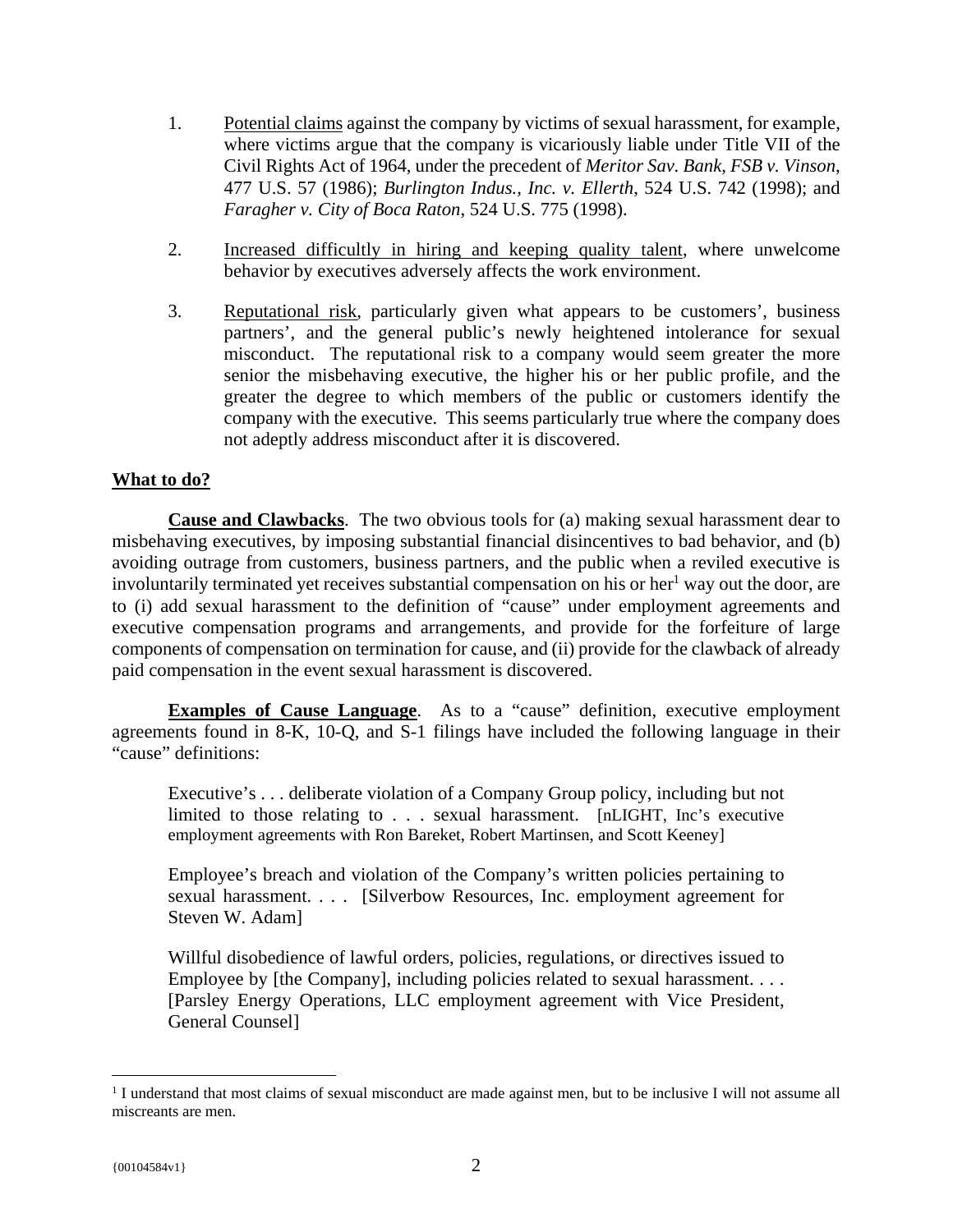- 1. Potential claims against the company by victims of sexual harassment, for example, where victims argue that the company is vicariously liable under Title VII of the Civil Rights Act of 1964, under the precedent of *Meritor Sav. Bank, FSB v. Vinson*, 477 U.S. 57 (1986); *Burlington Indus., Inc. v. Ellerth*, 524 U.S. 742 (1998); and *Faragher v. City of Boca Raton*, 524 U.S. 775 (1998).
- 2. Increased difficultly in hiring and keeping quality talent, where unwelcome behavior by executives adversely affects the work environment.
- 3. Reputational risk, particularly given what appears to be customers', business partners', and the general public's newly heightened intolerance for sexual misconduct. The reputational risk to a company would seem greater the more senior the misbehaving executive, the higher his or her public profile, and the greater the degree to which members of the public or customers identify the company with the executive. This seems particularly true where the company does not adeptly address misconduct after it is discovered.

# **What to do?**

**Cause and Clawbacks**. The two obvious tools for (a) making sexual harassment dear to misbehaving executives, by imposing substantial financial disincentives to bad behavior, and (b) avoiding outrage from customers, business partners, and the public when a reviled executive is involuntarily terminated yet receives substantial compensation on his or her $1$  way out the door, are to (i) add sexual harassment to the definition of "cause" under employment agreements and executive compensation programs and arrangements, and provide for the forfeiture of large components of compensation on termination for cause, and (ii) provide for the clawback of already paid compensation in the event sexual harassment is discovered.

**Examples of Cause Language**. As to a "cause" definition, executive employment agreements found in 8-K, 10-Q, and S-1 filings have included the following language in their "cause" definitions:

Executive's . . . deliberate violation of a Company Group policy, including but not limited to those relating to . . . sexual harassment. [nLIGHT, Inc's executive employment agreements with Ron Bareket, Robert Martinsen, and Scott Keeney]

Employee's breach and violation of the Company's written policies pertaining to sexual harassment. . . . [Silverbow Resources, Inc. employment agreement for Steven W. Adam]

Willful disobedience of lawful orders, policies, regulations, or directives issued to Employee by [the Company], including policies related to sexual harassment. . . . [Parsley Energy Operations, LLC employment agreement with Vice President, General Counsel]

 $\overline{a}$ 

<sup>&</sup>lt;sup>1</sup> I understand that most claims of sexual misconduct are made against men, but to be inclusive I will not assume all miscreants are men.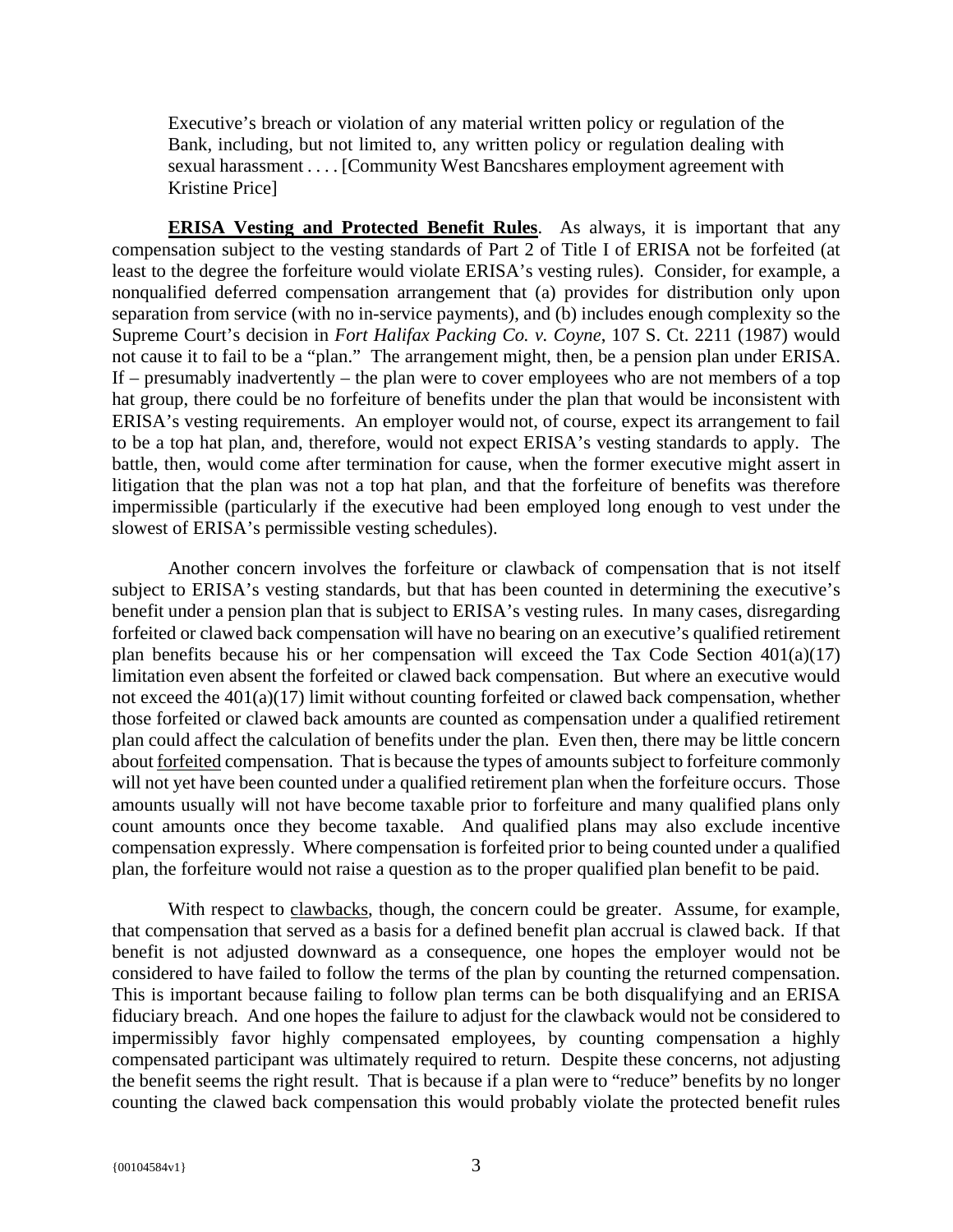Executive's breach or violation of any material written policy or regulation of the Bank, including, but not limited to, any written policy or regulation dealing with sexual harassment . . . . [Community West Bancshares employment agreement with Kristine Price]

**ERISA Vesting and Protected Benefit Rules**. As always, it is important that any compensation subject to the vesting standards of Part 2 of Title I of ERISA not be forfeited (at least to the degree the forfeiture would violate ERISA's vesting rules). Consider, for example, a nonqualified deferred compensation arrangement that (a) provides for distribution only upon separation from service (with no in-service payments), and (b) includes enough complexity so the Supreme Court's decision in *Fort Halifax Packing Co. v. Coyne*, 107 S. Ct. 2211 (1987) would not cause it to fail to be a "plan." The arrangement might, then, be a pension plan under ERISA. If – presumably inadvertently – the plan were to cover employees who are not members of a top hat group, there could be no forfeiture of benefits under the plan that would be inconsistent with ERISA's vesting requirements. An employer would not, of course, expect its arrangement to fail to be a top hat plan, and, therefore, would not expect ERISA's vesting standards to apply. The battle, then, would come after termination for cause, when the former executive might assert in litigation that the plan was not a top hat plan, and that the forfeiture of benefits was therefore impermissible (particularly if the executive had been employed long enough to vest under the slowest of ERISA's permissible vesting schedules).

Another concern involves the forfeiture or clawback of compensation that is not itself subject to ERISA's vesting standards, but that has been counted in determining the executive's benefit under a pension plan that is subject to ERISA's vesting rules. In many cases, disregarding forfeited or clawed back compensation will have no bearing on an executive's qualified retirement plan benefits because his or her compensation will exceed the Tax Code Section 401(a)(17) limitation even absent the forfeited or clawed back compensation. But where an executive would not exceed the 401(a)(17) limit without counting forfeited or clawed back compensation, whether those forfeited or clawed back amounts are counted as compensation under a qualified retirement plan could affect the calculation of benefits under the plan. Even then, there may be little concern about forfeited compensation. That is because the types of amounts subject to forfeiture commonly will not yet have been counted under a qualified retirement plan when the forfeiture occurs. Those amounts usually will not have become taxable prior to forfeiture and many qualified plans only count amounts once they become taxable. And qualified plans may also exclude incentive compensation expressly. Where compensation is forfeited prior to being counted under a qualified plan, the forfeiture would not raise a question as to the proper qualified plan benefit to be paid.

With respect to clawbacks, though, the concern could be greater. Assume, for example, that compensation that served as a basis for a defined benefit plan accrual is clawed back. If that benefit is not adjusted downward as a consequence, one hopes the employer would not be considered to have failed to follow the terms of the plan by counting the returned compensation. This is important because failing to follow plan terms can be both disqualifying and an ERISA fiduciary breach. And one hopes the failure to adjust for the clawback would not be considered to impermissibly favor highly compensated employees, by counting compensation a highly compensated participant was ultimately required to return. Despite these concerns, not adjusting the benefit seems the right result. That is because if a plan were to "reduce" benefits by no longer counting the clawed back compensation this would probably violate the protected benefit rules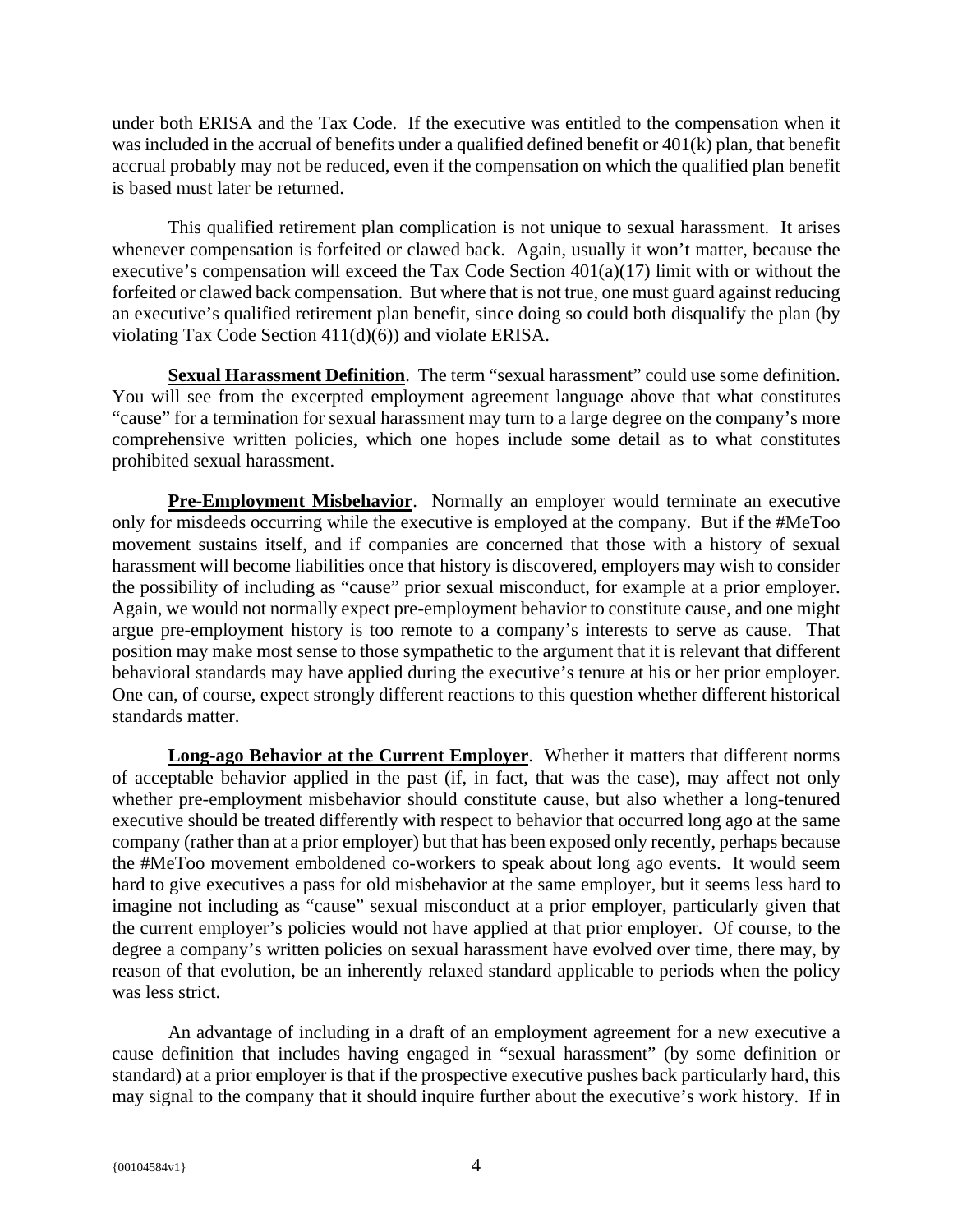under both ERISA and the Tax Code. If the executive was entitled to the compensation when it was included in the accrual of benefits under a qualified defined benefit or 401(k) plan, that benefit accrual probably may not be reduced, even if the compensation on which the qualified plan benefit is based must later be returned.

This qualified retirement plan complication is not unique to sexual harassment. It arises whenever compensation is forfeited or clawed back. Again, usually it won't matter, because the executive's compensation will exceed the Tax Code Section 401(a)(17) limit with or without the forfeited or clawed back compensation. But where that is not true, one must guard against reducing an executive's qualified retirement plan benefit, since doing so could both disqualify the plan (by violating Tax Code Section 411(d)(6)) and violate ERISA.

**Sexual Harassment Definition**. The term "sexual harassment" could use some definition. You will see from the excerpted employment agreement language above that what constitutes "cause" for a termination for sexual harassment may turn to a large degree on the company's more comprehensive written policies, which one hopes include some detail as to what constitutes prohibited sexual harassment.

**Pre-Employment Misbehavior.** Normally an employer would terminate an executive only for misdeeds occurring while the executive is employed at the company. But if the #MeToo movement sustains itself, and if companies are concerned that those with a history of sexual harassment will become liabilities once that history is discovered, employers may wish to consider the possibility of including as "cause" prior sexual misconduct, for example at a prior employer. Again, we would not normally expect pre-employment behavior to constitute cause, and one might argue pre-employment history is too remote to a company's interests to serve as cause. That position may make most sense to those sympathetic to the argument that it is relevant that different behavioral standards may have applied during the executive's tenure at his or her prior employer. One can, of course, expect strongly different reactions to this question whether different historical standards matter.

**Long-ago Behavior at the Current Employer**. Whether it matters that different norms of acceptable behavior applied in the past (if, in fact, that was the case), may affect not only whether pre-employment misbehavior should constitute cause, but also whether a long-tenured executive should be treated differently with respect to behavior that occurred long ago at the same company (rather than at a prior employer) but that has been exposed only recently, perhaps because the #MeToo movement emboldened co-workers to speak about long ago events. It would seem hard to give executives a pass for old misbehavior at the same employer, but it seems less hard to imagine not including as "cause" sexual misconduct at a prior employer, particularly given that the current employer's policies would not have applied at that prior employer. Of course, to the degree a company's written policies on sexual harassment have evolved over time, there may, by reason of that evolution, be an inherently relaxed standard applicable to periods when the policy was less strict.

An advantage of including in a draft of an employment agreement for a new executive a cause definition that includes having engaged in "sexual harassment" (by some definition or standard) at a prior employer is that if the prospective executive pushes back particularly hard, this may signal to the company that it should inquire further about the executive's work history. If in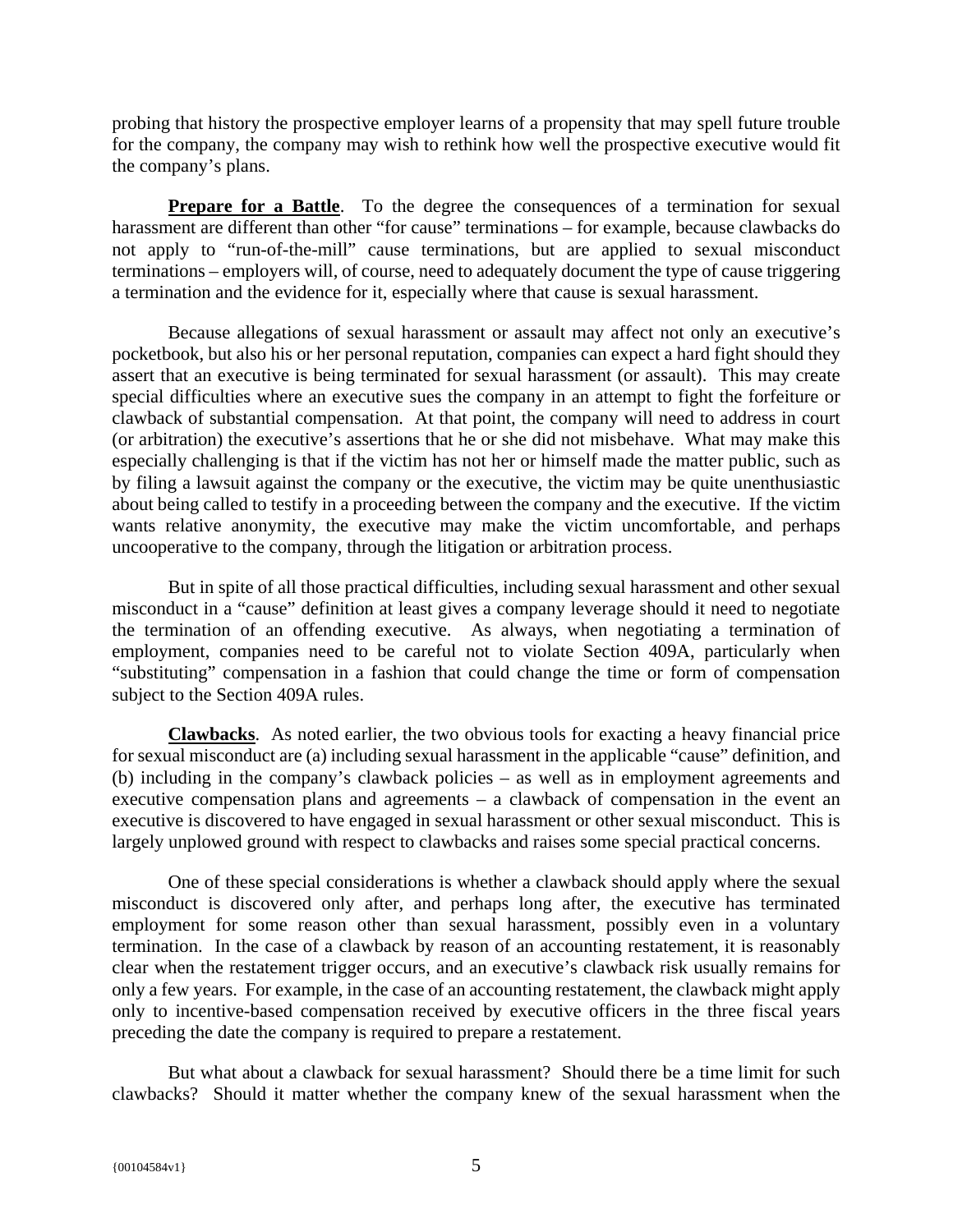probing that history the prospective employer learns of a propensity that may spell future trouble for the company, the company may wish to rethink how well the prospective executive would fit the company's plans.

**Prepare for a Battle**. To the degree the consequences of a termination for sexual harassment are different than other "for cause" terminations – for example, because clawbacks do not apply to "run-of-the-mill" cause terminations, but are applied to sexual misconduct terminations – employers will, of course, need to adequately document the type of cause triggering a termination and the evidence for it, especially where that cause is sexual harassment.

Because allegations of sexual harassment or assault may affect not only an executive's pocketbook, but also his or her personal reputation, companies can expect a hard fight should they assert that an executive is being terminated for sexual harassment (or assault). This may create special difficulties where an executive sues the company in an attempt to fight the forfeiture or clawback of substantial compensation. At that point, the company will need to address in court (or arbitration) the executive's assertions that he or she did not misbehave. What may make this especially challenging is that if the victim has not her or himself made the matter public, such as by filing a lawsuit against the company or the executive, the victim may be quite unenthusiastic about being called to testify in a proceeding between the company and the executive. If the victim wants relative anonymity, the executive may make the victim uncomfortable, and perhaps uncooperative to the company, through the litigation or arbitration process.

But in spite of all those practical difficulties, including sexual harassment and other sexual misconduct in a "cause" definition at least gives a company leverage should it need to negotiate the termination of an offending executive. As always, when negotiating a termination of employment, companies need to be careful not to violate Section 409A, particularly when "substituting" compensation in a fashion that could change the time or form of compensation subject to the Section 409A rules.

**Clawbacks**. As noted earlier, the two obvious tools for exacting a heavy financial price for sexual misconduct are (a) including sexual harassment in the applicable "cause" definition, and (b) including in the company's clawback policies – as well as in employment agreements and executive compensation plans and agreements – a clawback of compensation in the event an executive is discovered to have engaged in sexual harassment or other sexual misconduct. This is largely unplowed ground with respect to clawbacks and raises some special practical concerns.

One of these special considerations is whether a clawback should apply where the sexual misconduct is discovered only after, and perhaps long after, the executive has terminated employment for some reason other than sexual harassment, possibly even in a voluntary termination. In the case of a clawback by reason of an accounting restatement, it is reasonably clear when the restatement trigger occurs, and an executive's clawback risk usually remains for only a few years. For example, in the case of an accounting restatement, the clawback might apply only to incentive-based compensation received by executive officers in the three fiscal years preceding the date the company is required to prepare a restatement.

But what about a clawback for sexual harassment? Should there be a time limit for such clawbacks? Should it matter whether the company knew of the sexual harassment when the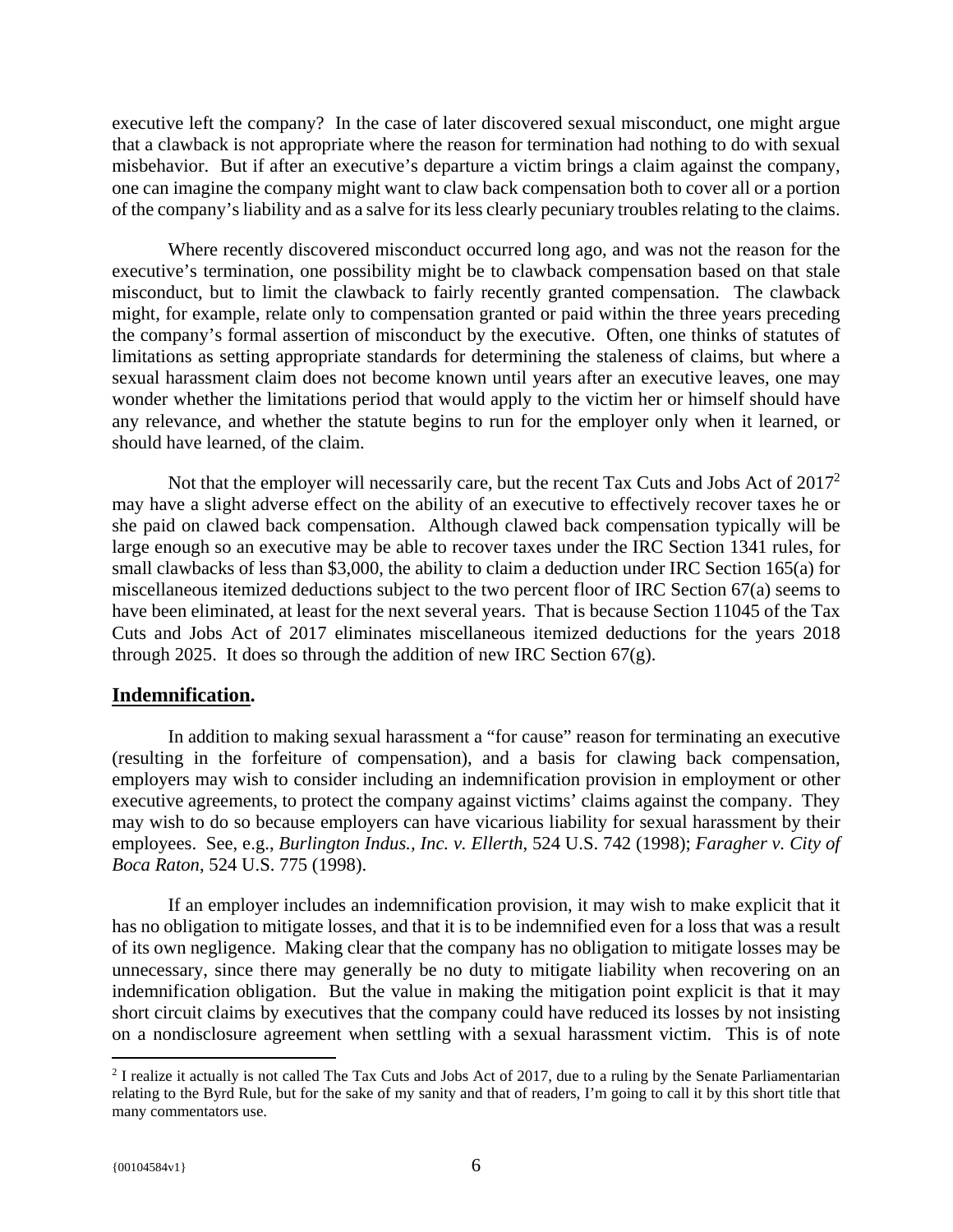executive left the company? In the case of later discovered sexual misconduct, one might argue that a clawback is not appropriate where the reason for termination had nothing to do with sexual misbehavior. But if after an executive's departure a victim brings a claim against the company, one can imagine the company might want to claw back compensation both to cover all or a portion of the company's liability and as a salve for its less clearly pecuniary troubles relating to the claims.

Where recently discovered misconduct occurred long ago, and was not the reason for the executive's termination, one possibility might be to clawback compensation based on that stale misconduct, but to limit the clawback to fairly recently granted compensation. The clawback might, for example, relate only to compensation granted or paid within the three years preceding the company's formal assertion of misconduct by the executive. Often, one thinks of statutes of limitations as setting appropriate standards for determining the staleness of claims, but where a sexual harassment claim does not become known until years after an executive leaves, one may wonder whether the limitations period that would apply to the victim her or himself should have any relevance, and whether the statute begins to run for the employer only when it learned, or should have learned, of the claim.

Not that the employer will necessarily care, but the recent Tax Cuts and Jobs Act of  $2017^2$ may have a slight adverse effect on the ability of an executive to effectively recover taxes he or she paid on clawed back compensation. Although clawed back compensation typically will be large enough so an executive may be able to recover taxes under the IRC Section 1341 rules, for small clawbacks of less than \$3,000, the ability to claim a deduction under IRC Section 165(a) for miscellaneous itemized deductions subject to the two percent floor of IRC Section 67(a) seems to have been eliminated, at least for the next several years. That is because Section 11045 of the Tax Cuts and Jobs Act of 2017 eliminates miscellaneous itemized deductions for the years 2018 through 2025. It does so through the addition of new IRC Section 67(g).

# **Indemnification.**

In addition to making sexual harassment a "for cause" reason for terminating an executive (resulting in the forfeiture of compensation), and a basis for clawing back compensation, employers may wish to consider including an indemnification provision in employment or other executive agreements, to protect the company against victims' claims against the company. They may wish to do so because employers can have vicarious liability for sexual harassment by their employees. See, e.g., *Burlington Indus., Inc. v. Ellerth*, 524 U.S. 742 (1998); *Faragher v. City of Boca Raton*, 524 U.S. 775 (1998).

If an employer includes an indemnification provision, it may wish to make explicit that it has no obligation to mitigate losses, and that it is to be indemnified even for a loss that was a result of its own negligence. Making clear that the company has no obligation to mitigate losses may be unnecessary, since there may generally be no duty to mitigate liability when recovering on an indemnification obligation. But the value in making the mitigation point explicit is that it may short circuit claims by executives that the company could have reduced its losses by not insisting on a nondisclosure agreement when settling with a sexual harassment victim. This is of note

 $\overline{a}$ 

 $2$  I realize it actually is not called The Tax Cuts and Jobs Act of 2017, due to a ruling by the Senate Parliamentarian relating to the Byrd Rule, but for the sake of my sanity and that of readers, I'm going to call it by this short title that many commentators use.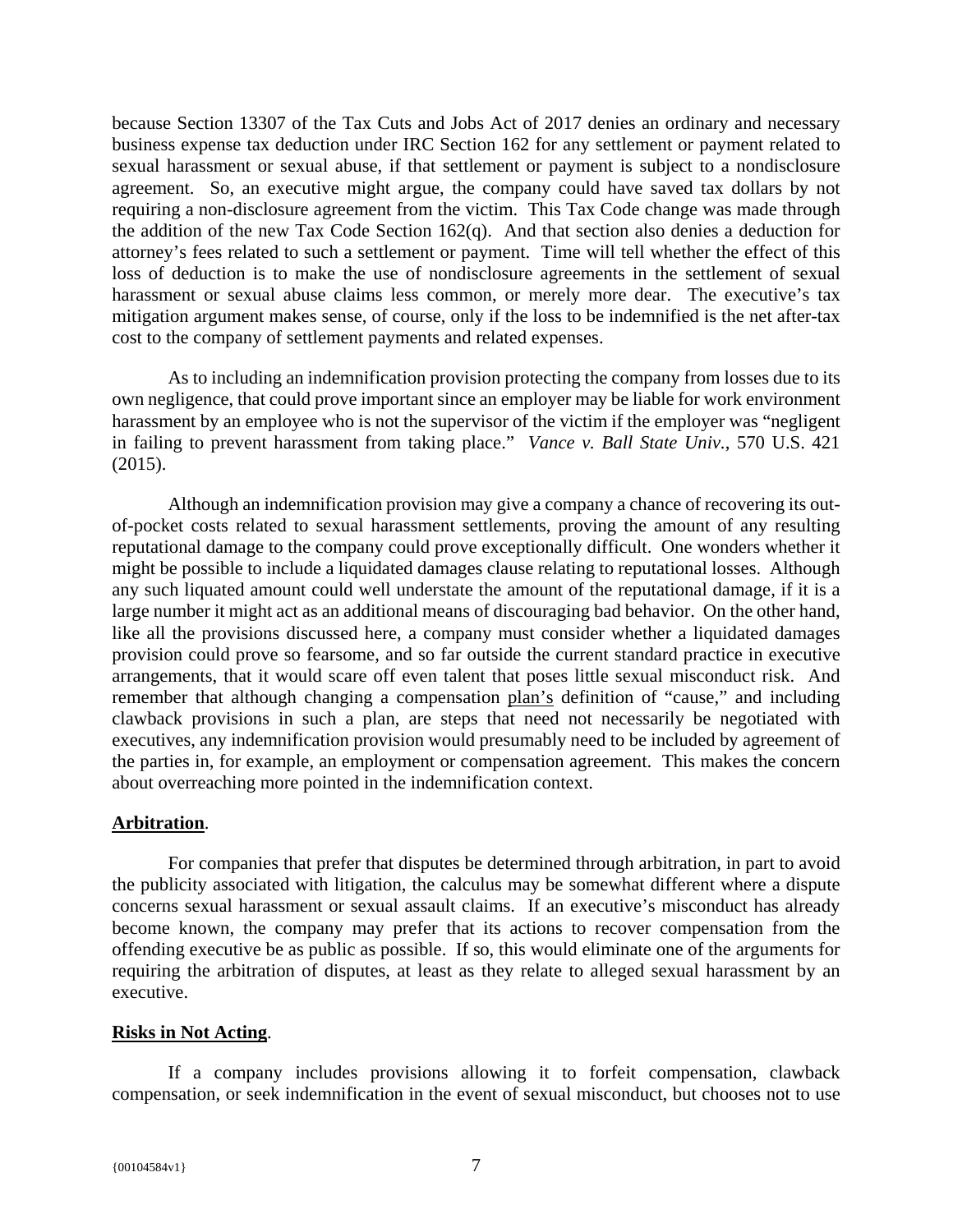because Section 13307 of the Tax Cuts and Jobs Act of 2017 denies an ordinary and necessary business expense tax deduction under IRC Section 162 for any settlement or payment related to sexual harassment or sexual abuse, if that settlement or payment is subject to a nondisclosure agreement. So, an executive might argue, the company could have saved tax dollars by not requiring a non-disclosure agreement from the victim. This Tax Code change was made through the addition of the new Tax Code Section 162(q). And that section also denies a deduction for attorney's fees related to such a settlement or payment. Time will tell whether the effect of this loss of deduction is to make the use of nondisclosure agreements in the settlement of sexual harassment or sexual abuse claims less common, or merely more dear. The executive's tax mitigation argument makes sense, of course, only if the loss to be indemnified is the net after-tax cost to the company of settlement payments and related expenses.

As to including an indemnification provision protecting the company from losses due to its own negligence, that could prove important since an employer may be liable for work environment harassment by an employee who is not the supervisor of the victim if the employer was "negligent in failing to prevent harassment from taking place." *Vance v. Ball State Univ.*, 570 U.S. 421 (2015).

Although an indemnification provision may give a company a chance of recovering its outof-pocket costs related to sexual harassment settlements, proving the amount of any resulting reputational damage to the company could prove exceptionally difficult. One wonders whether it might be possible to include a liquidated damages clause relating to reputational losses. Although any such liquated amount could well understate the amount of the reputational damage, if it is a large number it might act as an additional means of discouraging bad behavior. On the other hand, like all the provisions discussed here, a company must consider whether a liquidated damages provision could prove so fearsome, and so far outside the current standard practice in executive arrangements, that it would scare off even talent that poses little sexual misconduct risk. And remember that although changing a compensation plan's definition of "cause," and including clawback provisions in such a plan, are steps that need not necessarily be negotiated with executives, any indemnification provision would presumably need to be included by agreement of the parties in, for example, an employment or compensation agreement. This makes the concern about overreaching more pointed in the indemnification context.

# **Arbitration**.

For companies that prefer that disputes be determined through arbitration, in part to avoid the publicity associated with litigation, the calculus may be somewhat different where a dispute concerns sexual harassment or sexual assault claims. If an executive's misconduct has already become known, the company may prefer that its actions to recover compensation from the offending executive be as public as possible. If so, this would eliminate one of the arguments for requiring the arbitration of disputes, at least as they relate to alleged sexual harassment by an executive.

# **Risks in Not Acting**.

If a company includes provisions allowing it to forfeit compensation, clawback compensation, or seek indemnification in the event of sexual misconduct, but chooses not to use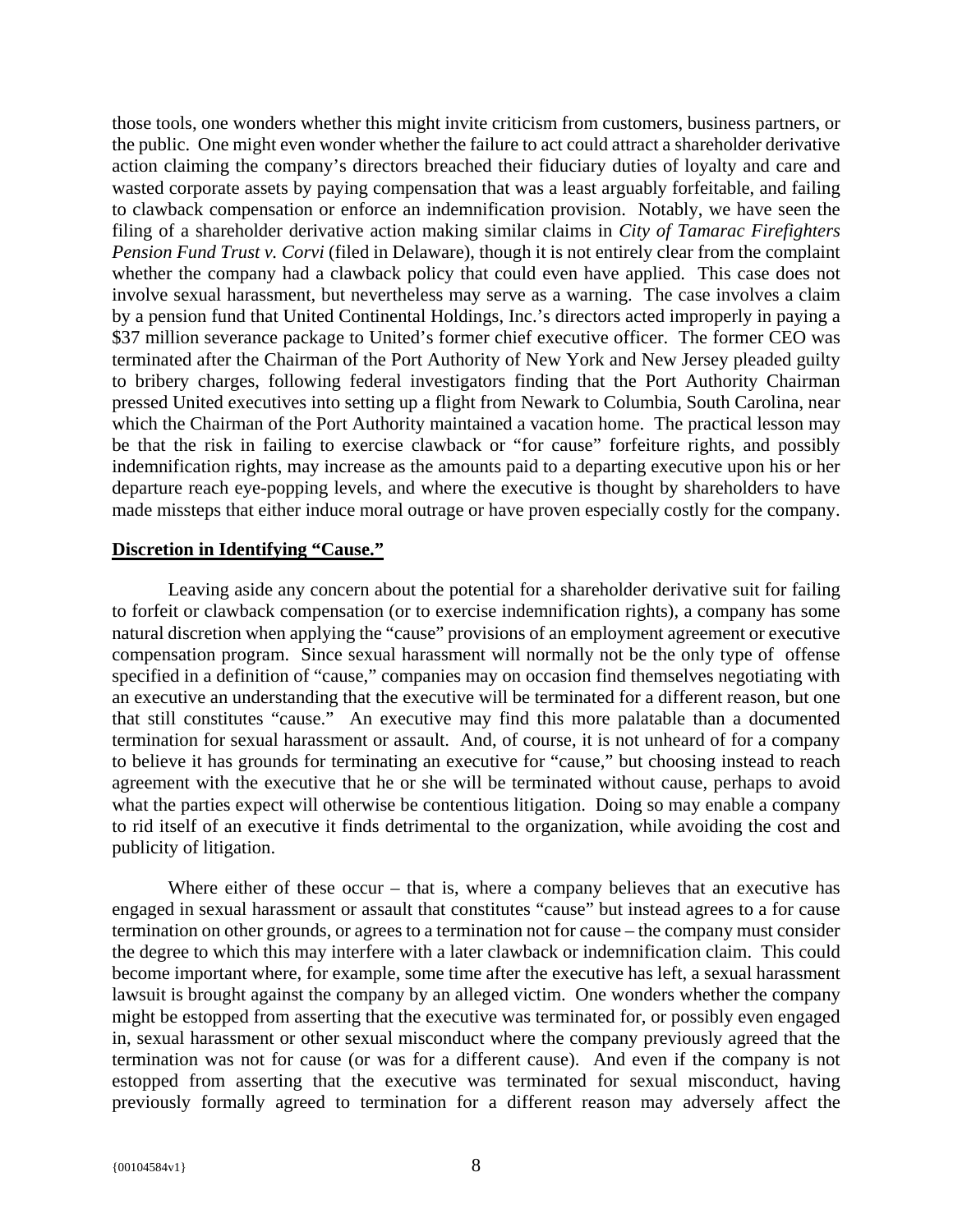those tools, one wonders whether this might invite criticism from customers, business partners, or the public. One might even wonder whether the failure to act could attract a shareholder derivative action claiming the company's directors breached their fiduciary duties of loyalty and care and wasted corporate assets by paying compensation that was a least arguably forfeitable, and failing to clawback compensation or enforce an indemnification provision. Notably, we have seen the filing of a shareholder derivative action making similar claims in *City of Tamarac Firefighters Pension Fund Trust v. Corvi* (filed in Delaware), though it is not entirely clear from the complaint whether the company had a clawback policy that could even have applied. This case does not involve sexual harassment, but nevertheless may serve as a warning. The case involves a claim by a pension fund that United Continental Holdings, Inc.'s directors acted improperly in paying a \$37 million severance package to United's former chief executive officer. The former CEO was terminated after the Chairman of the Port Authority of New York and New Jersey pleaded guilty to bribery charges, following federal investigators finding that the Port Authority Chairman pressed United executives into setting up a flight from Newark to Columbia, South Carolina, near which the Chairman of the Port Authority maintained a vacation home. The practical lesson may be that the risk in failing to exercise clawback or "for cause" forfeiture rights, and possibly indemnification rights, may increase as the amounts paid to a departing executive upon his or her departure reach eye-popping levels, and where the executive is thought by shareholders to have made missteps that either induce moral outrage or have proven especially costly for the company.

# **Discretion in Identifying "Cause."**

Leaving aside any concern about the potential for a shareholder derivative suit for failing to forfeit or clawback compensation (or to exercise indemnification rights), a company has some natural discretion when applying the "cause" provisions of an employment agreement or executive compensation program. Since sexual harassment will normally not be the only type of offense specified in a definition of "cause," companies may on occasion find themselves negotiating with an executive an understanding that the executive will be terminated for a different reason, but one that still constitutes "cause." An executive may find this more palatable than a documented termination for sexual harassment or assault. And, of course, it is not unheard of for a company to believe it has grounds for terminating an executive for "cause," but choosing instead to reach agreement with the executive that he or she will be terminated without cause, perhaps to avoid what the parties expect will otherwise be contentious litigation. Doing so may enable a company to rid itself of an executive it finds detrimental to the organization, while avoiding the cost and publicity of litigation.

Where either of these occur – that is, where a company believes that an executive has engaged in sexual harassment or assault that constitutes "cause" but instead agrees to a for cause termination on other grounds, or agrees to a termination not for cause – the company must consider the degree to which this may interfere with a later clawback or indemnification claim. This could become important where, for example, some time after the executive has left, a sexual harassment lawsuit is brought against the company by an alleged victim. One wonders whether the company might be estopped from asserting that the executive was terminated for, or possibly even engaged in, sexual harassment or other sexual misconduct where the company previously agreed that the termination was not for cause (or was for a different cause). And even if the company is not estopped from asserting that the executive was terminated for sexual misconduct, having previously formally agreed to termination for a different reason may adversely affect the